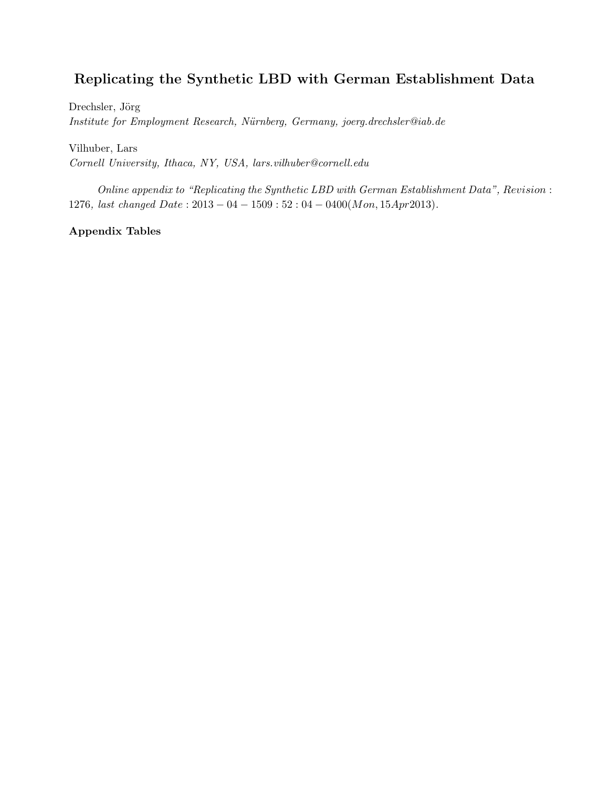## Replicating the Synthetic LBD with German Establishment Data

Drechsler, Jörg Institute for Employment Research, Nürnberg, Germany, joerg.drechsler@iab.de

Vilhuber, Lars Cornell University, Ithaca, NY, USA, lars.vilhuber@cornell.edu

Online appendix to "Replicating the Synthetic LBD with German Establishment Data", Revision : 1276, last changed  $Date: 2013 - 04 - 1509: 52: 04 - 0400(Mon, 15Apr2013).$ 

Appendix Tables